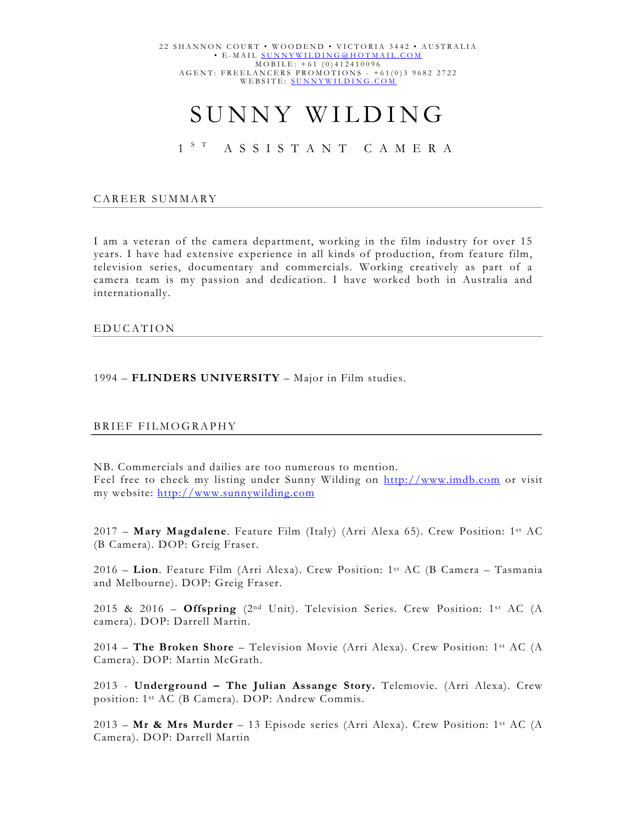# SUNNY WILDING

## 1<sup>ST</sup> ASSISTANT CAMERA

#### CAREER SUMMARY

I am a veteran of the camera department, working in the film industry for over 15 years. I have had extensive experience in all kinds of production, from feature film, television series, documentary and commercials. Working creatively as part of a camera team is my passion and dedication. I have worked both in Australia and internationally.

#### EDUCATION

### 1994 – **FLINDERS UNIVERSITY** – Major in Film studies.

#### BRIEF FILMOGRAPHY

NB. Commercials and dailies are too numerous to mention. Feel free to check my listing under Sunny Wilding on http://www.imdb.com or visit my website: http://www.sunnywilding.com

2017 – **Mary Magdalene**. Feature Film (Italy) (Arri Alexa 65). Crew Position: 1st AC (B Camera). DOP: Greig Fraser.

2016 – **Lion**. Feature Film (Arri Alexa). Crew Position: 1st AC (B Camera – Tasmania and Melbourne). DOP: Greig Fraser.

2015 & 2016 – **Offspring** (2nd Unit). Television Series. Crew Position: 1st AC (A camera). DOP: Darrell Martin.

2014 – **The Broken Shore** – Television Movie (Arri Alexa). Crew Position: 1st AC (A Camera). DOP: Martin McGrath.

2013 - **Underground – The Julian Assange Story.** Telemovie. (Arri Alexa). Crew position: 1st AC (B Camera). DOP: Andrew Commis.

2013 – **Mr & Mrs Murder** – 13 Episode series (Arri Alexa). Crew Position: 1st AC (A Camera). DOP: Darrell Martin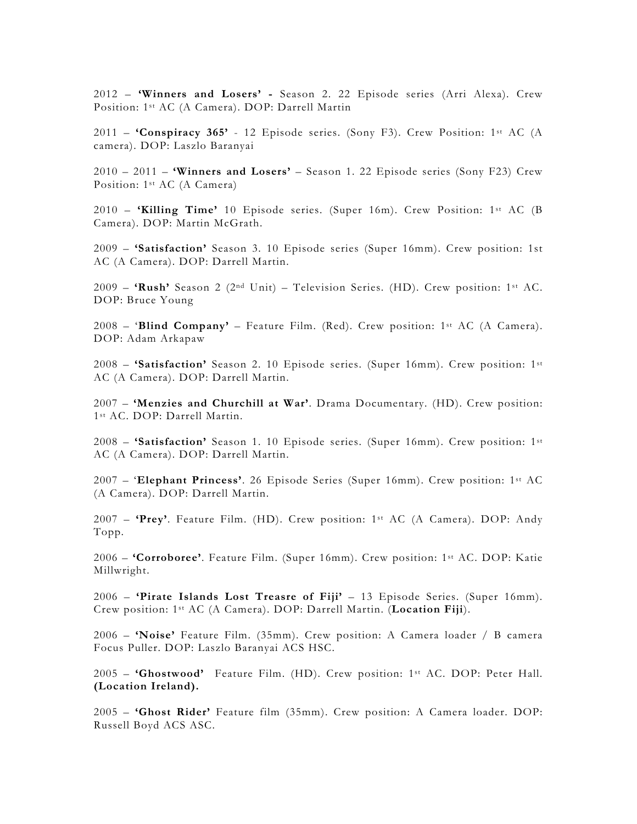2012 – **'Winners and Losers' -** Season 2. 22 Episode series (Arri Alexa). Crew Position: 1st AC (A Camera). DOP: Darrell Martin

2011 – **'Conspiracy 365'** - 12 Episode series. (Sony F3). Crew Position: 1st AC (A camera). DOP: Laszlo Baranyai

2010 – 2011 – **'Winners and Losers'** – Season 1. 22 Episode series (Sony F23) Crew Position: 1st AC (A Camera)

2010 – **'Killing Time'** 10 Episode series. (Super 16m). Crew Position: 1st AC (B Camera). DOP: Martin McGrath.

2009 – **'Satisfaction'** Season 3. 10 Episode series (Super 16mm). Crew position: 1st AC (A Camera). DOP: Darrell Martin.

2009 – **'Rush'** Season 2 (2nd Unit) – Television Series. (HD). Crew position: 1st AC. DOP: Bruce Young

2008 – '**Blind Company'** – Feature Film. (Red). Crew position: 1st AC (A Camera). DOP: Adam Arkapaw

2008 – **'Satisfaction'** Season 2. 10 Episode series. (Super 16mm). Crew position: 1st AC (A Camera). DOP: Darrell Martin.

2007 – **'Menzies and Churchill at War'**. Drama Documentary. (HD). Crew position: 1st AC. DOP: Darrell Martin.

2008 – **'Satisfaction'** Season 1. 10 Episode series. (Super 16mm). Crew position: 1st AC (A Camera). DOP: Darrell Martin.

2007 – '**Elephant Princess'**. 26 Episode Series (Super 16mm). Crew position: 1st AC (A Camera). DOP: Darrell Martin.

2007 – **'Prey'**. Feature Film. (HD). Crew position: 1st AC (A Camera). DOP: Andy Topp.

2006 – **'Corroboree'**. Feature Film. (Super 16mm). Crew position: 1st AC. DOP: Katie Millwright.

2006 – **'Pirate Islands Lost Treasre of Fiji'** – 13 Episode Series. (Super 16mm). Crew position: 1st AC (A Camera). DOP: Darrell Martin. (**Location Fiji**).

2006 – **'Noise'** Feature Film. (35mm). Crew position: A Camera loader / B camera Focus Puller. DOP: Laszlo Baranyai ACS HSC.

2005 – **'Ghostwood'** Feature Film. (HD). Crew position: 1st AC. DOP: Peter Hall. **(Location Ireland).**

2005 – **'Ghost Rider'** Feature film (35mm). Crew position: A Camera loader. DOP: Russell Boyd ACS ASC.